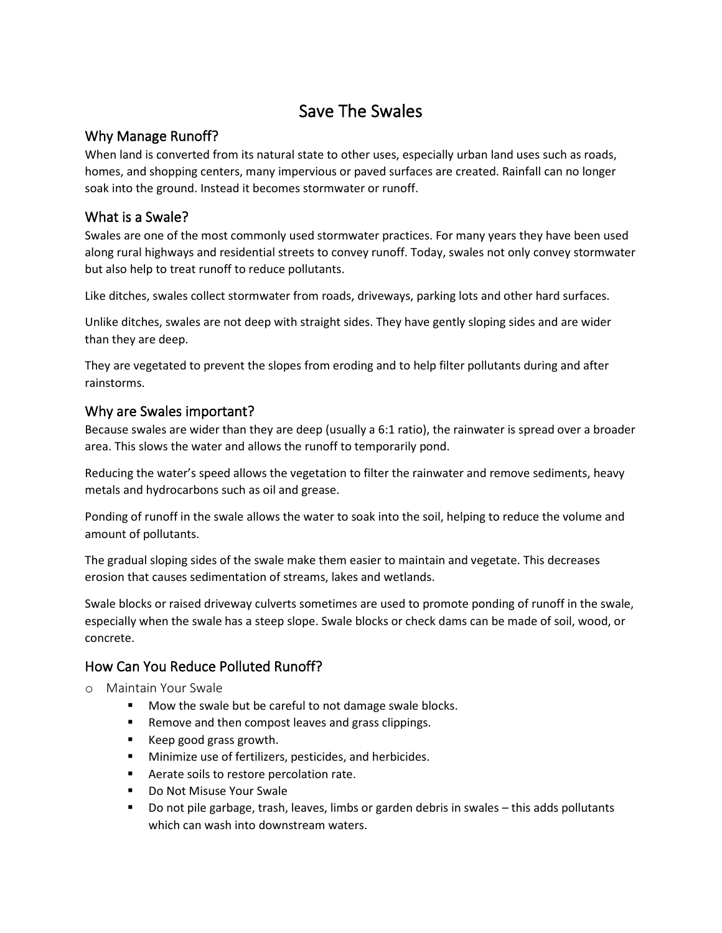# Save The Swales

## Why Manage Runoff?

When land is converted from its natural state to other uses, especially urban land uses such as roads, homes, and shopping centers, many impervious or paved surfaces are created. Rainfall can no longer soak into the ground. Instead it becomes stormwater or runoff.

## What is a Swale?

Swales are one of the most commonly used stormwater practices. For many years they have been used along rural highways and residential streets to convey runoff. Today, swales not only convey stormwater but also help to treat runoff to reduce pollutants.

Like ditches, swales collect stormwater from roads, driveways, parking lots and other hard surfaces.

Unlike ditches, swales are not deep with straight sides. They have gently sloping sides and are wider than they are deep.

They are vegetated to prevent the slopes from eroding and to help filter pollutants during and after rainstorms.

#### Why are Swales important?

Because swales are wider than they are deep (usually a 6:1 ratio), the rainwater is spread over a broader area. This slows the water and allows the runoff to temporarily pond.

Reducing the water's speed allows the vegetation to filter the rainwater and remove sediments, heavy metals and hydrocarbons such as oil and grease.

Ponding of runoff in the swale allows the water to soak into the soil, helping to reduce the volume and amount of pollutants.

The gradual sloping sides of the swale make them easier to maintain and vegetate. This decreases erosion that causes sedimentation of streams, lakes and wetlands.

Swale blocks or raised driveway culverts sometimes are used to promote ponding of runoff in the swale, especially when the swale has a steep slope. Swale blocks or check dams can be made of soil, wood, or concrete.

# How Can You Reduce Polluted Runoff?

- o Maintain Your Swale
	- **Mow the swale but be careful to not damage swale blocks.**
	- **Remove and then compost leaves and grass clippings.**
	- Keep good grass growth.
	- **Minimize use of fertilizers, pesticides, and herbicides.**
	- **Aerate soils to restore percolation rate.**
	- **Do Not Misuse Your Swale**
	- Do not pile garbage, trash, leaves, limbs or garden debris in swales this adds pollutants which can wash into downstream waters.